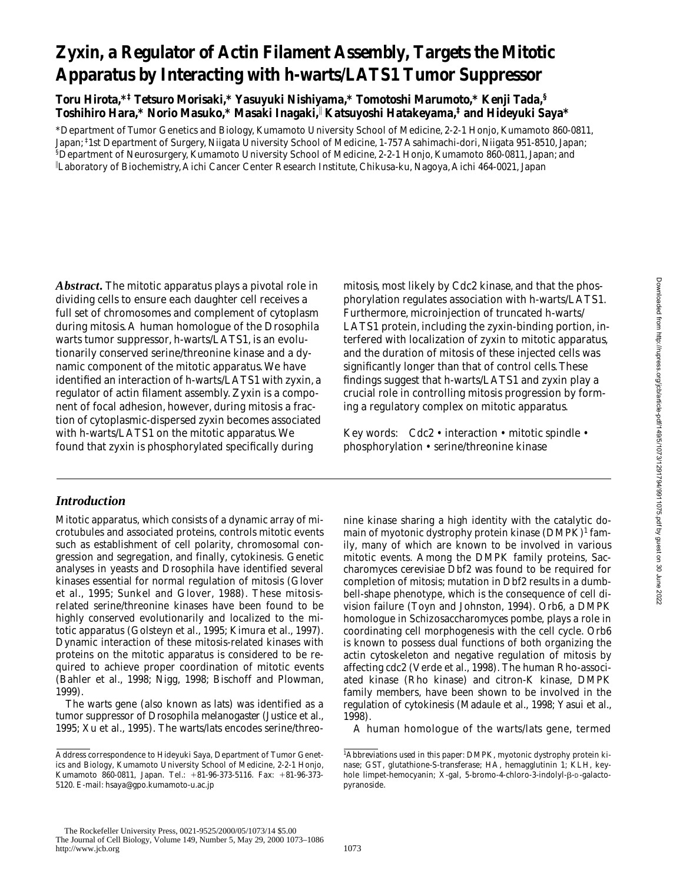# **Zyxin, a Regulator of Actin Filament Assembly, Targets the Mitotic Apparatus by Interacting with h-warts/LATS1 Tumor Suppressor**

**Toru Hirota,\*‡ Tetsuro Morisaki,\* Yasuyuki Nishiyama,\* Tomotoshi Marumoto,\* Kenji Tada,§ Toshihiro Hara,\* Norio Masuko,\* Masaki Inagaki,**<sup>i</sup>  **Katsuyoshi Hatakeyama,‡ and Hideyuki Saya\***

\*Department of Tumor Genetics and Biology, Kumamoto University School of Medicine, 2-2-1 Honjo, Kumamoto 860-0811, Japan; ‡ 1st Department of Surgery, Niigata University School of Medicine, 1-757 Asahimachi-dori, Niigata 951-8510, Japan; § Department of Neurosurgery, Kumamoto University School of Medicine, 2-2-1 Honjo, Kumamoto 860-0811, Japan; and i Laboratory of Biochemistry, Aichi Cancer Center Research Institute, Chikusa-ku, Nagoya, Aichi 464-0021, Japan

*Abstract.* The mitotic apparatus plays a pivotal role in dividing cells to ensure each daughter cell receives a full set of chromosomes and complement of cytoplasm during mitosis. A human homologue of the *Drosophila* warts tumor suppressor, h-warts/LATS1, is an evolutionarily conserved serine/threonine kinase and a dynamic component of the mitotic apparatus. We have identified an interaction of h-warts/LATS1 with zyxin, a regulator of actin filament assembly. Zyxin is a component of focal adhesion, however, during mitosis a fraction of cytoplasmic-dispersed zyxin becomes associated with h-warts/LATS1 on the mitotic apparatus. We found that zyxin is phosphorylated specifically during

## *Introduction*

Mitotic apparatus, which consists of a dynamic array of microtubules and associated proteins, controls mitotic events such as establishment of cell polarity, chromosomal congression and segregation, and finally, cytokinesis. Genetic analyses in yeasts and *Drosophila* have identified several kinases essential for normal regulation of mitosis (Glover et al., 1995; Sunkel and Glover, 1988). These mitosisrelated serine/threonine kinases have been found to be highly conserved evolutionarily and localized to the mitotic apparatus (Golsteyn et al., 1995; Kimura et al., 1997). Dynamic interaction of these mitosis-related kinases with proteins on the mitotic apparatus is considered to be required to achieve proper coordination of mitotic events (Bahler et al., 1998; Nigg, 1998; Bischoff and Plowman, 1999).

The *warts* gene (also known as *lats*) was identified as a tumor suppressor of *Drosophila melanogaster* (Justice et al., 1995; Xu et al., 1995). The *warts/lats* encodes serine/threo-

mitosis, most likely by Cdc2 kinase, and that the phosphorylation regulates association with h-warts/LATS1. Furthermore, microinjection of truncated h-warts/ LATS1 protein, including the zyxin-binding portion, interfered with localization of zyxin to mitotic apparatus, and the duration of mitosis of these injected cells was significantly longer than that of control cells. These findings suggest that h-warts/LATS1 and zyxin play a crucial role in controlling mitosis progression by forming a regulatory complex on mitotic apparatus.

Key words: Cdc2 • interaction • mitotic spindle • phosphorylation • serine/threonine kinase

nine kinase sharing a high identity with the catalytic domain of myotonic dystrophy protein kinase (DMPK)<sup>1</sup> family, many of which are known to be involved in various mitotic events. Among the DMPK family proteins, *Saccharomyces cerevisiae* Dbf2 was found to be required for completion of mitosis; mutation in *Dbf2* results in a dumbbell-shape phenotype, which is the consequence of cell division failure (Toyn and Johnston, 1994). Orb6, a DMPK homologue in *Schizosaccharomyces pombe*, plays a role in coordinating cell morphogenesis with the cell cycle. Orb6 is known to possess dual functions of both organizing the actin cytoskeleton and negative regulation of mitosis by affecting cdc2 (Verde et al., 1998). The human Rho-associated kinase (Rho kinase) and citron-K kinase, DMPK family members, have been shown to be involved in the regulation of cytokinesis (Madaule et al., 1998; Yasui et al., 1998).

A human homologue of the *warts/lats* gene, termed

Address correspondence to Hideyuki Saya, Department of Tumor Genetics and Biology, Kumamoto University School of Medicine, 2-2-1 Honjo, Kumamoto 860-0811, Japan. Tel.:  $+81-96-373-5116$ . Fax:  $+81-96-373-$ 5120. E-mail: hsaya@gpo.kumamoto-u.ac.jp

<sup>1</sup> *Abbreviations used in this paper:* DMPK, myotonic dystrophy protein kinase; GST, glutathione-*S*-transferase; HA, hemagglutinin 1; KLH, keyhole limpet-hemocyanin; X-gal, 5-bromo-4-chloro-3-indolyl-ß-D-galactopyranoside.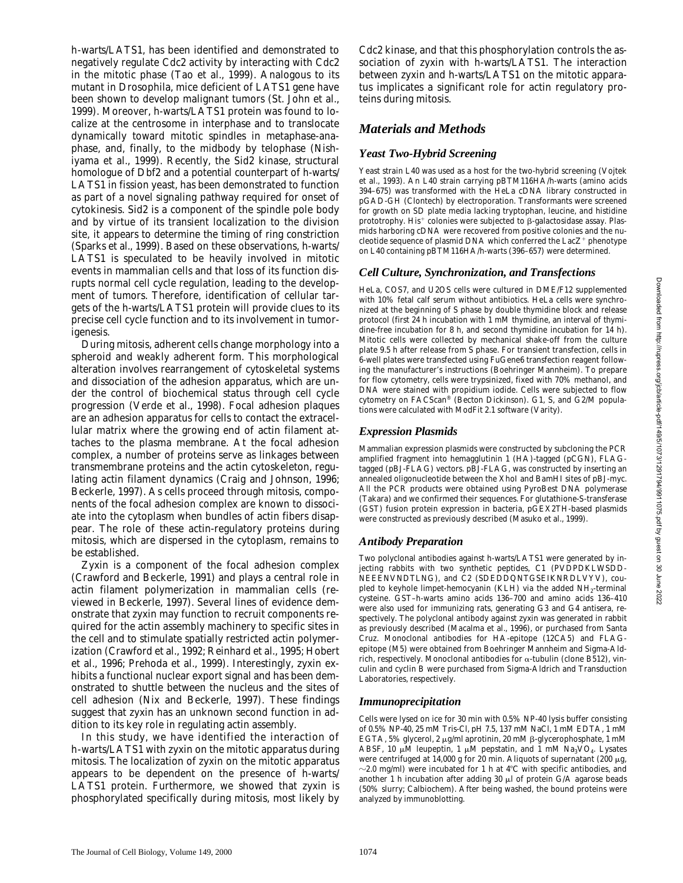Downloaded from http://rupress.org/jcb/article-pdf/149/5/1073/1291794/9911075.pdf by guest on 30 June 2022 Downloaded from http://rupress.org/jcb/article-pdf/149/5/1073/1291794/9911075.pdf by guest on 30 June 2022

*h-warts/LATS1*, has been identified and demonstrated to negatively regulate Cdc2 activity by interacting with Cdc2 in the mitotic phase (Tao et al., 1999). Analogous to its mutant in *Drosophila*, mice deficient of *LATS1* gene have been shown to develop malignant tumors (St. John et al., 1999). Moreover, h-warts/LATS1 protein was found to localize at the centrosome in interphase and to translocate dynamically toward mitotic spindles in metaphase-anaphase, and, finally, to the midbody by telophase (Nishiyama et al., 1999). Recently, the Sid2 kinase, structural homologue of Dbf2 and a potential counterpart of h-warts/ LATS1 in fission yeast, has been demonstrated to function as part of a novel signaling pathway required for onset of cytokinesis. Sid2 is a component of the spindle pole body and by virtue of its transient localization to the division site, it appears to determine the timing of ring constriction (Sparks et al., 1999). Based on these observations, h-warts/ LATS1 is speculated to be heavily involved in mitotic events in mammalian cells and that loss of its function disrupts normal cell cycle regulation, leading to the development of tumors. Therefore, identification of cellular targets of the h-warts/LATS1 protein will provide clues to its precise cell cycle function and to its involvement in tumorigenesis.

During mitosis, adherent cells change morphology into a spheroid and weakly adherent form. This morphological alteration involves rearrangement of cytoskeletal systems and dissociation of the adhesion apparatus, which are under the control of biochemical status through cell cycle progression (Verde et al., 1998). Focal adhesion plaques are an adhesion apparatus for cells to contact the extracellular matrix where the growing end of actin filament attaches to the plasma membrane. At the focal adhesion complex, a number of proteins serve as linkages between transmembrane proteins and the actin cytoskeleton, regulating actin filament dynamics (Craig and Johnson, 1996; Beckerle, 1997). As cells proceed through mitosis, components of the focal adhesion complex are known to dissociate into the cytoplasm when bundles of actin fibers disappear. The role of these actin-regulatory proteins during mitosis, which are dispersed in the cytoplasm, remains to be established.

Zyxin is a component of the focal adhesion complex (Crawford and Beckerle, 1991) and plays a central role in actin filament polymerization in mammalian cells (reviewed in Beckerle, 1997). Several lines of evidence demonstrate that zyxin may function to recruit components required for the actin assembly machinery to specific sites in the cell and to stimulate spatially restricted actin polymerization (Crawford et al., 1992; Reinhard et al., 1995; Hobert et al., 1996; Prehoda et al., 1999). Interestingly, zyxin exhibits a functional nuclear export signal and has been demonstrated to shuttle between the nucleus and the sites of cell adhesion (Nix and Beckerle, 1997). These findings suggest that zyxin has an unknown second function in addition to its key role in regulating actin assembly.

In this study, we have identified the interaction of h-warts/LATS1 with zyxin on the mitotic apparatus during mitosis. The localization of zyxin on the mitotic apparatus appears to be dependent on the presence of h-warts/ LATS1 protein. Furthermore, we showed that zyxin is phosphorylated specifically during mitosis, most likely by

Cdc2 kinase, and that this phosphorylation controls the association of zyxin with h-warts/LATS1. The interaction between zyxin and h-warts/LATS1 on the mitotic apparatus implicates a significant role for actin regulatory proteins during mitosis.

## *Materials and Methods*

## *Yeast Two-Hybrid Screening*

Yeast strain L40 was used as a host for the two-hybrid screening (Vojtek et al., 1993). An L40 strain carrying pBTM116HA/h-warts (amino acids 394–675) was transformed with the HeLa cDNA library constructed in pGAD-GH (Clontech) by electroporation. Transformants were screened for growth on SD plate media lacking tryptophan, leucine, and histidine prototrophy. His<sup>+</sup> colonies were subjected to  $\beta$ -galactosidase assay. Plasmids harboring cDNA were recovered from positive colonies and the nucleotide sequence of plasmid DNA which conferred the  $LacZ^+$  phenotype on L40 containing pBTM116HA/h-warts (396–657) were determined.

## *Cell Culture, Synchronization, and Transfections*

HeLa, COS7, and U2OS cells were cultured in DME/F12 supplemented with 10% fetal calf serum without antibiotics. HeLa cells were synchronized at the beginning of S phase by double thymidine block and release protocol (first 24 h incubation with 1 mM thymidine, an interval of thymidine-free incubation for 8 h, and second thymidine incubation for 14 h). Mitotic cells were collected by mechanical shake-off from the culture plate 9.5 h after release from S phase. For transient transfection, cells in 6-well plates were transfected using FuGene6 transfection reagent following the manufacturer's instructions (Boehringer Mannheim). To prepare for flow cytometry, cells were trypsinized, fixed with 70% methanol, and DNA were stained with propidium iodide. Cells were subjected to flow cytometry on FACScan® (Becton Dickinson). G1, S, and G2/M populations were calculated with ModFit 2.1 software (Varity).

## *Expression Plasmids*

Mammalian expression plasmids were constructed by subcloning the PCR amplified fragment into hemagglutinin 1 (HA)-tagged (pCGN), FLAGtagged (pBJ-FLAG) vectors. pBJ-FLAG, was constructed by inserting an annealed oligonucleotide between the XhoI and BamHI sites of pBJ-myc. All the PCR products were obtained using PyroBest DNA polymerase (Takara) and we confirmed their sequences. For glutathione-*S*-transferase (GST) fusion protein expression in bacteria, pGEX2TH-based plasmids were constructed as previously described (Masuko et al., 1999).

## *Antibody Preparation*

Two polyclonal antibodies against h-warts/LATS1 were generated by injecting rabbits with two synthetic peptides, C1 (PVDPDKLWSDD-NEEENVNDTLNG), and C2 (SDEDDQNTGSEIKNRDLVYV), coupled to keyhole limpet-hemocyanin (KLH) via the added NH<sub>2</sub>-terminal cysteine. GST–h-warts amino acids 136–700 and amino acids 136–410 were also used for immunizing rats, generating G3 and G4 antisera, respectively. The polyclonal antibody against zyxin was generated in rabbit as previously described (Macalma et al., 1996), or purchased from Santa Cruz. Monoclonal antibodies for HA-epitope (12CA5) and FLAGepitope (M5) were obtained from Boehringer Mannheim and Sigma-Aldrich, respectively. Monoclonal antibodies for  $\alpha$ -tubulin (clone B512), vinculin and cyclin B were purchased from Sigma-Aldrich and Transduction Laboratories, respectively.

### *Immunoprecipitation*

Cells were lysed on ice for 30 min with 0.5% NP-40 lysis buffer consisting of 0.5% NP-40, 25 mM Tris-Cl, pH 7.5, 137 mM NaCl, 1 mM EDTA, 1 mM EGTA, 5% glycerol, 2 μg/ml aprotinin, 20 mM β-glycerophosphate, 1 mM ABSF, 10  $\mu$ M leupeptin, 1  $\mu$ M pepstatin, and 1 mM Na<sub>3</sub>VO<sub>4</sub>. Lysates were centrifuged at 14,000  $g$  for 20 min. Aliquots of supernatant (200  $\mu$ g,  $\sim$ 2.0 mg/ml) were incubated for 1 h at 4°C with specific antibodies, and another 1 h incubation after adding 30  $\mu$ l of protein G/A agarose beads (50% slurry; Calbiochem). After being washed, the bound proteins were analyzed by immunoblotting.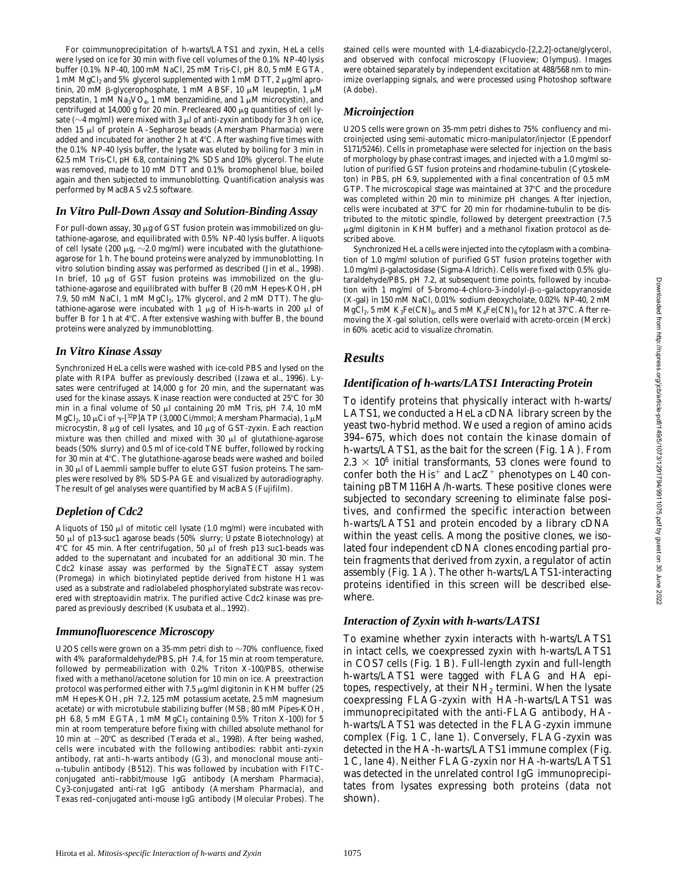For coimmunoprecipitation of h-warts/LATS1 and zyxin, HeLa cells were lysed on ice for 30 min with five cell volumes of the 0.1% NP-40 lysis buffer (0.1% NP-40, 100 mM NaCl, 25 mM Tris-Cl, pH 8.0, 5 mM EGTA, 1 mM MgCl<sub>2</sub> and 5% glycerol supplemented with 1 mM DTT, 2  $\mu$ g/ml aprotinin, 20 mM  $\beta$ -glycerophosphate, 1 mM ABSF, 10  $\mu$ M leupeptin, 1  $\mu$ M pepstatin, 1 mM  $\text{Na}_3\text{VO}_4$ , 1 mM benzamidine, and 1  $\mu$ M microcystin), and centrifuged at 14,000  $g$  for 20 min. Precleared 400  $\mu$ g quantities of cell lysate ( $\sim$ 4 mg/ml) were mixed with 3  $\mu$ l of anti-zyxin antibody for 3 h on ice, then 15  $\mu$ l of protein A–Sepharose beads (Amersham Pharmacia) were added and incubated for another 2 h at  $4^{\circ}$ C. After washing five times with the 0.1% NP-40 lysis buffer, the lysate was eluted by boiling for 3 min in 62.5 mM Tris-Cl, pH 6.8, containing 2% SDS and 10% glycerol. The elute was removed, made to 10 mM DTT and 0.1% bromophenol blue, boiled again and then subjected to immunoblotting. Quantification analysis was performed by MacBAS v2.5 software.

#### *In Vitro Pull-Down Assay and Solution-Binding Assay*

For pull-down assay, 30  $\mu$ g of GST fusion protein was immobilized on glutathione-agarose, and equilibrated with 0.5% NP-40 lysis buffer. Aliquots of cell lysate (200  $\mu$ g,  $\sim$ 2.0 mg/ml) were incubated with the glutathioneagarose for 1 h. The bound proteins were analyzed by immunoblotting. In vitro solution binding assay was performed as described (Jin et al., 1998). In brief,  $10 \mu g$  of GST fusion proteins was immobilized on the glutathione-agarose and equilibrated with buffer B (20 mM Hepes-KOH, pH 7.9, 50 mM NaCl, 1 mM  $MgCl<sub>2</sub>$ , 17% glycerol, and 2 mM DTT). The glutathione-agarose were incubated with 1  $\mu{\rm g}$  of His-h-warts in 200  $\mu{\rm l}$  of buffer B for 1 h at  $4^{\circ}$ C. After extensive washing with buffer B, the bound proteins were analyzed by immunoblotting.

#### *In Vitro Kinase Assay*

Synchronized HeLa cells were washed with ice-cold PBS and lysed on the plate with RIPA buffer as previously described (Izawa et al., 1996). Lysates were centrifuged at  $14,000$   $g$  for 20 min, and the supernatant was used for the kinase assays. Kinase reaction were conducted at  $25^{\circ}$ C for 30 min in a final volume of 50  $\mu$ l containing 20 mM Tris, pH 7.4, 10 mM MgCl<sub>2</sub>, 10 µCi of  $\gamma$ -[<sup>32</sup>P]ATP (3,000 Ci/mmol; Amersham Pharmacia), 1 µM microcystin, 8  $\mu$ g of cell lysates, and 10  $\mu$ g of GST-zyxin. Each reaction mixture was then chilled and mixed with  $30 \mu l$  of glutathione-agarose beads (50% slurry) and 0.5 ml of ice-cold TNE buffer, followed by rocking for 30 min at 4°C. The glutathione-agarose beads were washed and boiled in 30  $\mu$ l of Laemmli sample buffer to elute GST fusion proteins. The samples were resolved by 8% SDS-PAGE and visualized by autoradiography. The result of gel analyses were quantified by MacBAS (Fujifilm).

### *Depletion of Cdc2*

Aliquots of 150  $\mu$ l of mitotic cell lysate (1.0 mg/ml) were incubated with 50 ml of p13-suc1 agarose beads (50% slurry; Upstate Biotechnology) at  $4^{\circ}$ C for 45 min. After centrifugation, 50  $\mu$ l of fresh p13 suc1-beads was added to the supernatant and incubated for an additional 30 min. The Cdc2 kinase assay was performed by the SignaTECT assay system (Promega) in which biotinylated peptide derived from histone H1 was used as a substrate and radiolabeled phosphorylated substrate was recovered with streptoavidin matrix. The purified active Cdc2 kinase was prepared as previously described (Kusubata et al., 1992).

#### *Immunofluorescence Microscopy*

U2OS cells were grown on a 35-mm petri dish to  $\sim$ 70% confluence, fixed with 4% paraformaldehyde/PBS, pH 7.4, for 15 min at room temperature, followed by permeabilization with 0.2% Triton X-100/PBS, otherwise fixed with a methanol/acetone solution for 10 min on ice. A preextraction protocol was performed either with 7.5  $\mu$ g/ml digitonin in KHM buffer (25 mM Hepes-KOH, pH 7.2, 125 mM potassium acetate, 2.5 mM magnesium acetate) or with microtubule stabilizing buffer (MSB; 80 mM Pipes-KOH, pH 6.8, 5 mM EGTA, 1 mM  $MgCl<sub>2</sub>$  containing 0.5% Triton X-100) for 5 min at room temperature before fixing with chilled absolute methanol for 10 min at  $-20^{\circ}$ C as described (Terada et al., 1998). After being washed, cells were incubated with the following antibodies: rabbit anti-zyxin antibody, rat anti–h-warts antibody (G3), and monoclonal mouse anti–  $\alpha$ -tubulin antibody (B512). This was followed by incubation with FITCconjugated anti–rabbit/mouse IgG antibody (Amersham Pharmacia), Cy3-conjugated anti-rat IgG antibody (Amersham Pharmacia), and Texas red–conjugated anti-mouse IgG antibody (Molecular Probes). The stained cells were mounted with 1,4-diazabicyclo-[2,2,2]-octane/glycerol, and observed with confocal microscopy (Fluoview; Olympus). Images were obtained separately by independent excitation at 488/568 nm to minimize overlapping signals, and were processed using Photoshop software (Adobe).

#### *Microinjection*

U2OS cells were grown on 35-mm petri dishes to 75% confluency and microinjected using semi-automatic micro-manipulator/injector (Eppendorf 5171/5246). Cells in prometaphase were selected for injection on the basis of morphology by phase contrast images, and injected with a 1.0 mg/ml solution of purified GST fusion proteins and rhodamine-tubulin (Cytoskeleton) in PBS, pH 6.9, supplemented with a final concentration of 0.5 mM GTP. The microscopical stage was maintained at  $37^{\circ}$ C and the procedure was completed within 20 min to minimize pH changes. After injection, cells were incubated at 37°C for 20 min for rhodamine-tubulin to be distributed to the mitotic spindle, followed by detergent preextraction (7.5  $\mu$ g/ml digitonin in KHM buffer) and a methanol fixation protocol as described above.

Synchronized HeLa cells were injected into the cytoplasm with a combination of 1.0 mg/ml solution of purified GST fusion proteins together with 1.0 mg/ml β-galactosidase (Sigma-Aldrich). Cells were fixed with 0.5% glutaraldehyde/PBS, pH 7.2, at subsequent time points, followed by incubation with 1 mg/ml of 5-bromo-4-chloro-3-indolyl-β-D-galactopyranoside (X-gal) in 150 mM NaCl, 0.01% sodium deoxycholate, 0.02% NP-40, 2 mM  $MgCl<sub>2</sub>$ , 5 mM  $K<sub>3</sub>Fe(CN)<sub>6</sub>$ , and 5 mM  $K<sub>4</sub>Fe(CN)<sub>6</sub>$  for 12 h at 37°C. After removing the X-gal solution, cells were overlaid with acreto-orcein (Merck) in 60% acetic acid to visualize chromatin.

## *Results*

### *Identification of h-warts/LATS1 Interacting Protein*

To identify proteins that physically interact with h-warts/ LATS1, we conducted a HeLa cDNA library screen by the yeast two-hybrid method. We used a region of amino acids 394–675, which does not contain the kinase domain of h-warts/LATS1, as the bait for the screen (Fig. 1 A). From  $2.3 \times 10^6$  initial transformants, 53 clones were found to confer both the His<sup>+</sup> and Lac $Z^+$  phenotypes on L40 containing pBTM116HA/h-warts. These positive clones were subjected to secondary screening to eliminate false positives, and confirmed the specific interaction between h-warts/LATS1 and protein encoded by a library cDNA within the yeast cells. Among the positive clones, we isolated four independent cDNA clones encoding partial protein fragments that derived from zyxin, a regulator of actin assembly (Fig. 1 A). The other h-warts/LATS1-interacting proteins identified in this screen will be described elsewhere.

### *Interaction of Zyxin with h-warts/LATS1*

To examine whether zyxin interacts with h-warts/LATS1 in intact cells, we coexpressed zyxin with h-warts/LATS1 in COS7 cells (Fig. 1 B). Full-length zyxin and full-length h-warts/LATS1 were tagged with FLAG and HA epitopes, respectively, at their NH<sub>2</sub> termini. When the lysate coexpressing FLAG-zyxin with HA-h-warts/LATS1 was immunoprecipitated with the anti-FLAG antibody, HAh-warts/LATS1 was detected in the FLAG-zyxin immune complex (Fig. 1 C, lane 1). Conversely, FLAG-zyxin was detected in the HA-h-warts/LATS1 immune complex (Fig. 1 C, lane 4). Neither FLAG-zyxin nor HA-h-warts/LATS1 was detected in the unrelated control IgG immunoprecipitates from lysates expressing both proteins (data not shown).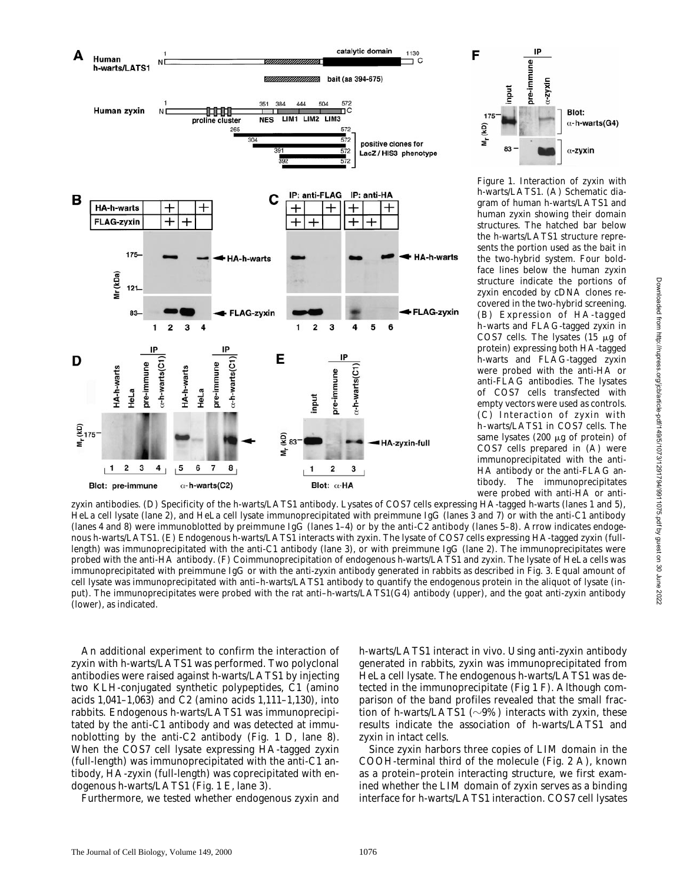

zyxin antibodies. (D) Specificity of the h-warts/LATS1 antibody. Lysates of COS7 cells expressing HA-tagged h-warts (lanes 1 and 5), HeLa cell lysate (lane 2), and HeLa cell lysate immunoprecipitated with preimmune IgG (lanes 3 and 7) or with the anti-C1 antibody (lanes 4 and 8) were immunoblotted by preimmune IgG (lanes 1–4) or by the anti-C2 antibody (lanes 5–8). Arrow indicates endogenous h-warts/LATS1. (E) Endogenous h-warts/LATS1 interacts with zyxin. The lysate of COS7 cells expressing HA-tagged zyxin (fulllength) was immunoprecipitated with the anti-C1 antibody (lane 3), or with preimmune IgG (lane 2). The immunoprecipitates were probed with the anti-HA antibody. (F) Coimmunoprecipitation of endogenous h-warts/LATS1 and zyxin. The lysate of HeLa cells was immunoprecipitated with preimmune IgG or with the anti-zyxin antibody generated in rabbits as described in Fig. 3. Equal amount of cell lysate was immunoprecipitated with anti–h-warts/LATS1 antibody to quantify the endogenous protein in the aliquot of lysate (input). The immunoprecipitates were probed with the rat anti–h-warts/LATS1(G4) antibody (upper), and the goat anti-zyxin antibody (lower), as indicated.

An additional experiment to confirm the interaction of zyxin with h-warts/LATS1 was performed. Two polyclonal antibodies were raised against h-warts/LATS1 by injecting two KLH-conjugated synthetic polypeptides, C1 (amino acids 1,041–1,063) and C2 (amino acids 1,111–1,130), into rabbits. Endogenous h-warts/LATS1 was immunoprecipitated by the anti-C1 antibody and was detected at immunoblotting by the anti-C2 antibody (Fig. 1 D, lane 8). When the COS7 cell lysate expressing HA-tagged zyxin (full-length) was immunoprecipitated with the anti-C1 antibody, HA-zyxin (full-length) was coprecipitated with endogenous h-warts/LATS1 (Fig. 1 E, lane 3).

Furthermore, we tested whether endogenous zyxin and

h-warts/LATS1 interact in vivo. Using anti-zyxin antibody generated in rabbits, zyxin was immunoprecipitated from HeLa cell lysate. The endogenous h-warts/LATS1 was detected in the immunoprecipitate (Fig 1 F). Although comparison of the band profiles revealed that the small fraction of h-warts/LATS1 ( $\sim$ 9%) interacts with zyxin, these results indicate the association of h-warts/LATS1 and zyxin in intact cells.

Since zyxin harbors three copies of LIM domain in the COOH-terminal third of the molecule (Fig. 2 A), known as a protein–protein interacting structure, we first examined whether the LIM domain of zyxin serves as a binding interface for h-warts/LATS1 interaction. COS7 cell lysates



*Figure 1*. Interaction of zyxin with h-warts/LATS1. (A) Schematic diagram of human h-warts/LATS1 and human zyxin showing their domain structures. The hatched bar below the h-warts/LATS1 structure represents the portion used as the bait in the two-hybrid system. Four boldface lines below the human zyxin structure indicate the portions of zyxin encoded by cDNA clones recovered in the two-hybrid screening. (B) Expression of HA-tagged h-warts and FLAG-tagged zyxin in COS7 cells. The lysates  $(15 \mu g)$  of protein) expressing both HA-tagged h-warts and FLAG-tagged zyxin were probed with the anti-HA or anti-FLAG antibodies. The lysates of COS7 cells transfected with empty vectors were used as controls. (C) Interaction of zyxin with h-warts/LATS1 in COS7 cells. The same lysates (200  $\mu$ g of protein) of COS7 cells prepared in (A) were immunoprecipitated with the anti-HA antibody or the anti-FLAG antibody. The immunoprecipitates were probed with anti-HA or anti-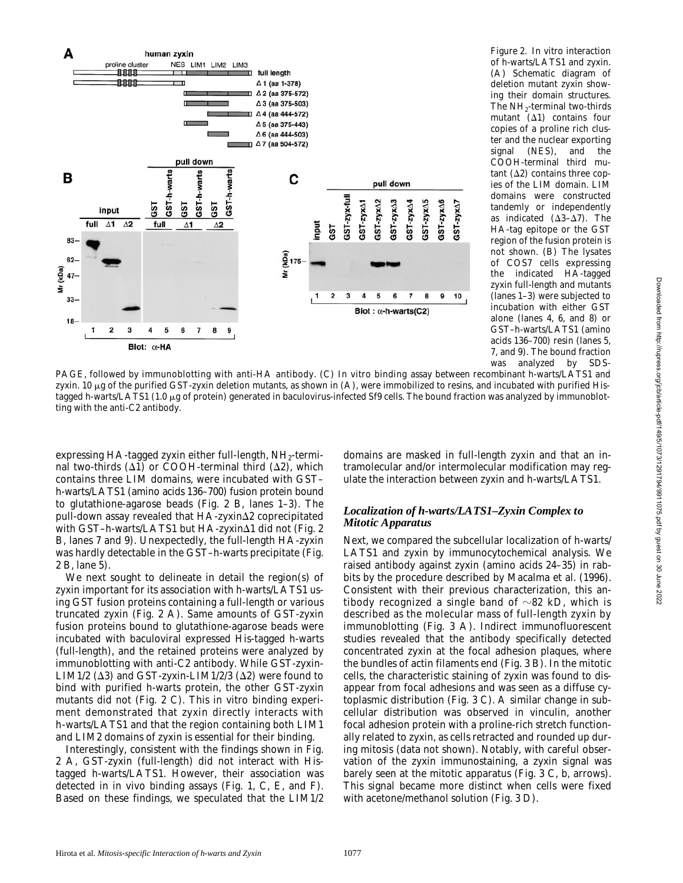

*Figure 2*. In vitro interaction of h-warts/LATS1 and zyxin. (A) Schematic diagram of deletion mutant zyxin showing their domain structures. The  $NH_2$ -terminal two-thirds mutant  $(\Delta 1)$  contains four copies of a proline rich cluster and the nuclear exporting signal (NES), and the COOH-terminal third mutant  $(\Delta 2)$  contains three copies of the LIM domain. LIM domains were constructed tandemly or independently as indicated  $(\Delta 3-\Delta 7)$ . The HA-tag epitope or the GST region of the fusion protein is not shown. (B) The lysates of COS7 cells expressing the indicated HA-tagged zyxin full-length and mutants (lanes 1–3) were subjected to incubation with either GST alone (lanes 4, 6, and 8) or GST–h-warts/LATS1 (amino acids 136–700) resin (lanes 5, 7, and 9). The bound fraction was analyzed by SDS-

PAGE, followed by immunoblotting with anti-HA antibody. (C) In vitro binding assay between recombinant h-warts/LATS1 and zyxin. 10  $\mu$ g of the purified GST-zyxin deletion mutants, as shown in (A), were immobilized to resins, and incubated with purified Histagged h-warts/LATS1 (1.0 mg of protein) generated in baculovirus-infected Sf9 cells. The bound fraction was analyzed by immunoblotting with the anti-C2 antibody.

expressing HA-tagged zyxin either full-length,  $NH<sub>2</sub>$ -terminal two-thirds  $(\Delta 1)$  or COOH-terminal third  $(\Delta 2)$ , which contains three LIM domains, were incubated with GST– h-warts/LATS1 (amino acids 136–700) fusion protein bound to glutathione-agarose beads (Fig. 2 B, lanes 1–3). The pull-down assay revealed that  $HA$ -zyxin $\Delta 2$  coprecipitated with GST-h-warts/LATS1 but  $HA$ -zyxin $\Delta$ 1 did not (Fig. 2 B, lanes 7 and 9). Unexpectedly, the full-length HA-zyxin was hardly detectable in the GST–h-warts precipitate (Fig. 2 B, lane 5).

We next sought to delineate in detail the region(s) of zyxin important for its association with h-warts/LATS1 using GST fusion proteins containing a full-length or various truncated zyxin (Fig. 2 A). Same amounts of GST-zyxin fusion proteins bound to glutathione-agarose beads were incubated with baculoviral expressed His-tagged h-warts (full-length), and the retained proteins were analyzed by immunoblotting with anti-C2 antibody. While GST-zyxin-LIM1/2 ( $\Delta$ 3) and GST-zyxin-LIM1/2/3 ( $\Delta$ 2) were found to bind with purified h-warts protein, the other GST-zyxin mutants did not (Fig. 2 C). This in vitro binding experiment demonstrated that zyxin directly interacts with h-warts/LATS1 and that the region containing both LIM1 and LIM2 domains of zyxin is essential for their binding.

Interestingly, consistent with the findings shown in Fig. 2 A, GST-zyxin (full-length) did not interact with Histagged h-warts/LATS1. However, their association was detected in in vivo binding assays (Fig. 1, C, E, and F). Based on these findings, we speculated that the LIM1/2 domains are masked in full-length zyxin and that an intramolecular and/or intermolecular modification may regulate the interaction between zyxin and h-warts/LATS1.

#### *Localization of h-warts/LATS1–Zyxin Complex to Mitotic Apparatus*

Next, we compared the subcellular localization of h-warts/ LATS1 and zyxin by immunocytochemical analysis. We raised antibody against zyxin (amino acids 24–35) in rabbits by the procedure described by Macalma et al. (1996). Consistent with their previous characterization, this antibody recognized a single band of  $\sim 82$  kD, which is described as the molecular mass of full-length zyxin by immunoblotting (Fig. 3 A). Indirect immunofluorescent studies revealed that the antibody specifically detected concentrated zyxin at the focal adhesion plaques, where the bundles of actin filaments end (Fig. 3 B). In the mitotic cells, the characteristic staining of zyxin was found to disappear from focal adhesions and was seen as a diffuse cytoplasmic distribution (Fig. 3 C). A similar change in subcellular distribution was observed in vinculin, another focal adhesion protein with a proline-rich stretch functionally related to zyxin, as cells retracted and rounded up during mitosis (data not shown). Notably, with careful observation of the zyxin immunostaining, a zyxin signal was barely seen at the mitotic apparatus (Fig. 3 C, b, arrows). This signal became more distinct when cells were fixed with acetone/methanol solution (Fig. 3 D).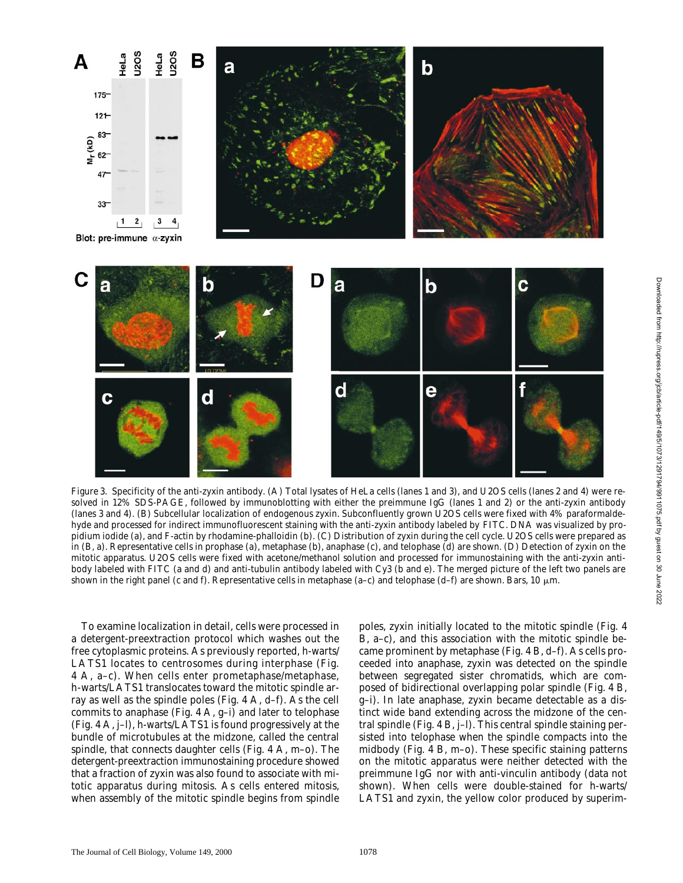

*Figure 3.* Specificity of the anti-zyxin antibody. (A) Total lysates of HeLa cells (lanes 1 and 3), and U2OS cells (lanes 2 and 4) were resolved in 12% SDS-PAGE, followed by immunoblotting with either the preimmune IgG (lanes 1 and 2) or the anti-zyxin antibody (lanes 3 and 4). (B) Subcellular localization of endogenous zyxin. Subconfluently grown U2OS cells were fixed with 4% paraformaldehyde and processed for indirect immunofluorescent staining with the anti-zyxin antibody labeled by FITC. DNA was visualized by propidium iodide (a), and F-actin by rhodamine-phalloidin (b). (C) Distribution of zyxin during the cell cycle. U2OS cells were prepared as in (B, a). Representative cells in prophase (a), metaphase (b), anaphase (c), and telophase (d) are shown. (D) Detection of zyxin on the mitotic apparatus. U2OS cells were fixed with acetone/methanol solution and processed for immunostaining with the anti-zyxin antibody labeled with FITC (a and d) and anti-tubulin antibody labeled with Cy3 (b and e). The merged picture of the left two panels are shown in the right panel (c and f). Representative cells in metaphase (a–c) and telophase (d–f) are shown. Bars, 10  $\mu$ m.

To examine localization in detail, cells were processed in a detergent-preextraction protocol which washes out the free cytoplasmic proteins. As previously reported, h-warts/ LATS1 locates to centrosomes during interphase (Fig. 4 A, a–c). When cells enter prometaphase/metaphase, h-warts/LATS1 translocates toward the mitotic spindle array as well as the spindle poles (Fig. 4 A, d–f). As the cell commits to anaphase (Fig. 4 A, g–i) and later to telophase (Fig. 4 A, j–l), h-warts/LATS1 is found progressively at the bundle of microtubules at the midzone, called the central spindle, that connects daughter cells (Fig. 4 A, m–o). The detergent-preextraction immunostaining procedure showed that a fraction of zyxin was also found to associate with mitotic apparatus during mitosis. As cells entered mitosis, when assembly of the mitotic spindle begins from spindle

poles, zyxin initially located to the mitotic spindle (Fig. 4 B, a–c), and this association with the mitotic spindle became prominent by metaphase (Fig. 4 B, d–f). As cells proceeded into anaphase, zyxin was detected on the spindle between segregated sister chromatids, which are composed of bidirectional overlapping polar spindle (Fig. 4 B, g–i). In late anaphase, zyxin became detectable as a distinct wide band extending across the midzone of the central spindle (Fig. 4 B, j–l). This central spindle staining persisted into telophase when the spindle compacts into the midbody (Fig. 4 B, m–o). These specific staining patterns on the mitotic apparatus were neither detected with the preimmune IgG nor with anti-vinculin antibody (data not shown). When cells were double-stained for h-warts/ LATS1 and zyxin, the yellow color produced by superim-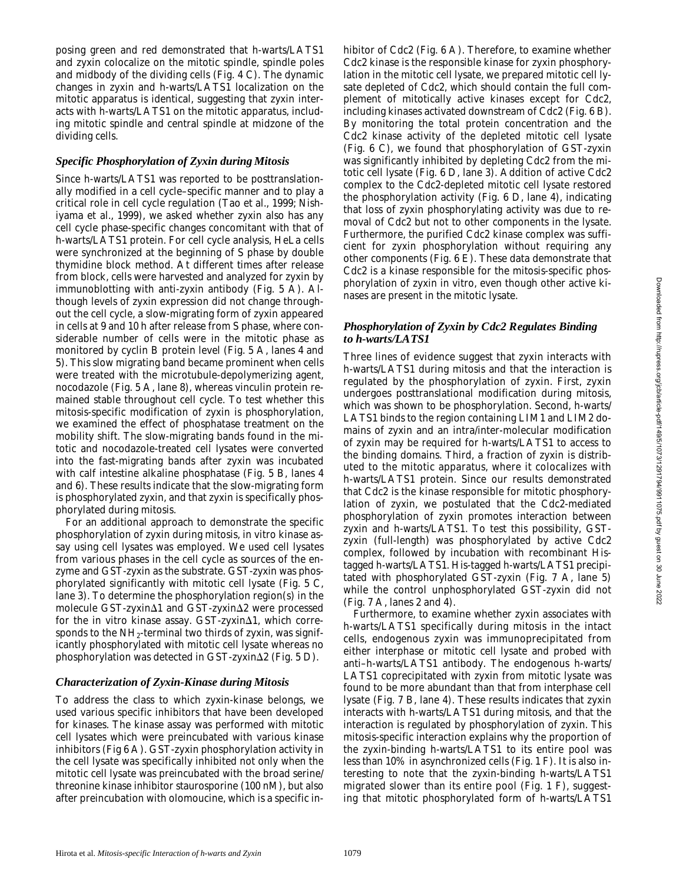posing green and red demonstrated that h-warts/LATS1 and zyxin colocalize on the mitotic spindle, spindle poles and midbody of the dividing cells (Fig. 4 C). The dynamic changes in zyxin and h-warts/LATS1 localization on the mitotic apparatus is identical, suggesting that zyxin interacts with h-warts/LATS1 on the mitotic apparatus, including mitotic spindle and central spindle at midzone of the dividing cells.

## *Specific Phosphorylation of Zyxin during Mitosis*

Since h-warts/LATS1 was reported to be posttranslationally modified in a cell cycle–specific manner and to play a critical role in cell cycle regulation (Tao et al., 1999; Nishiyama et al., 1999), we asked whether zyxin also has any cell cycle phase-specific changes concomitant with that of h-warts/LATS1 protein. For cell cycle analysis, HeLa cells were synchronized at the beginning of S phase by double thymidine block method. At different times after release from block, cells were harvested and analyzed for zyxin by immunoblotting with anti-zyxin antibody (Fig. 5 A). Although levels of zyxin expression did not change throughout the cell cycle, a slow-migrating form of zyxin appeared in cells at 9 and 10 h after release from S phase, where considerable number of cells were in the mitotic phase as monitored by cyclin B protein level (Fig. 5 A, lanes 4 and 5). This slow migrating band became prominent when cells were treated with the microtubule-depolymerizing agent, nocodazole (Fig. 5 A, lane 8), whereas vinculin protein remained stable throughout cell cycle. To test whether this mitosis-specific modification of zyxin is phosphorylation, we examined the effect of phosphatase treatment on the mobility shift. The slow-migrating bands found in the mitotic and nocodazole-treated cell lysates were converted into the fast-migrating bands after zyxin was incubated with calf intestine alkaline phosphatase (Fig. 5 B, lanes 4 and 6). These results indicate that the slow-migrating form is phosphorylated zyxin, and that zyxin is specifically phosphorylated during mitosis.

For an additional approach to demonstrate the specific phosphorylation of zyxin during mitosis, in vitro kinase assay using cell lysates was employed. We used cell lysates from various phases in the cell cycle as sources of the enzyme and GST-zyxin as the substrate. GST-zyxin was phosphorylated significantly with mitotic cell lysate (Fig. 5 C, lane 3). To determine the phosphorylation region(s) in the molecule GST-zyxin $\Delta$ 1 and GST-zyxin $\Delta$ 2 were processed for the in vitro kinase assay. GST-zyxin $\Delta$ 1, which corresponds to the  $NH_2$ -terminal two thirds of zyxin, was significantly phosphorylated with mitotic cell lysate whereas no phosphorylation was detected in GST-zyxin $\Delta$ 2 (Fig. 5 D).

## *Characterization of Zyxin-Kinase during Mitosis*

To address the class to which zyxin-kinase belongs, we used various specific inhibitors that have been developed for kinases. The kinase assay was performed with mitotic cell lysates which were preincubated with various kinase inhibitors (Fig 6 A). GST-zyxin phosphorylation activity in the cell lysate was specifically inhibited not only when the mitotic cell lysate was preincubated with the broad serine/ threonine kinase inhibitor staurosporine (100 nM), but also after preincubation with olomoucine, which is a specific inhibitor of Cdc2 (Fig. 6 A). Therefore, to examine whether Cdc2 kinase is the responsible kinase for zyxin phosphorylation in the mitotic cell lysate, we prepared mitotic cell lysate depleted of Cdc2, which should contain the full complement of mitotically active kinases except for Cdc2, including kinases activated downstream of Cdc2 (Fig. 6 B). By monitoring the total protein concentration and the Cdc2 kinase activity of the depleted mitotic cell lysate (Fig. 6 C), we found that phosphorylation of GST-zyxin was significantly inhibited by depleting Cdc2 from the mitotic cell lysate (Fig. 6 D, lane 3). Addition of active Cdc2 complex to the Cdc2-depleted mitotic cell lysate restored the phosphorylation activity (Fig. 6 D, lane 4), indicating that loss of zyxin phosphorylating activity was due to removal of Cdc2 but not to other components in the lysate. Furthermore, the purified Cdc2 kinase complex was sufficient for zyxin phosphorylation without requiring any other components (Fig. 6 E). These data demonstrate that Cdc2 is a kinase responsible for the mitosis-specific phosphorylation of zyxin in vitro, even though other active kinases are present in the mitotic lysate.

## *Phosphorylation of Zyxin by Cdc2 Regulates Binding to h-warts/LATS1*

Three lines of evidence suggest that zyxin interacts with h-warts/LATS1 during mitosis and that the interaction is regulated by the phosphorylation of zyxin. First, zyxin undergoes posttranslational modification during mitosis, which was shown to be phosphorylation. Second, h-warts/ LATS1 binds to the region containing LIM1 and LIM2 domains of zyxin and an intra/inter-molecular modification of zyxin may be required for h-warts/LATS1 to access to the binding domains. Third, a fraction of zyxin is distributed to the mitotic apparatus, where it colocalizes with h-warts/LATS1 protein. Since our results demonstrated that Cdc2 is the kinase responsible for mitotic phosphorylation of zyxin, we postulated that the Cdc2-mediated phosphorylation of zyxin promotes interaction between zyxin and h-warts/LATS1. To test this possibility, GSTzyxin (full-length) was phosphorylated by active Cdc2 complex, followed by incubation with recombinant Histagged h-warts/LATS1. His-tagged h-warts/LATS1 precipitated with phosphorylated GST-zyxin (Fig. 7 A, lane 5) while the control unphosphorylated GST-zyxin did not (Fig. 7 A, lanes 2 and 4).

Furthermore, to examine whether zyxin associates with h-warts/LATS1 specifically during mitosis in the intact cells, endogenous zyxin was immunoprecipitated from either interphase or mitotic cell lysate and probed with anti–h-warts/LATS1 antibody. The endogenous h-warts/ LATS1 coprecipitated with zyxin from mitotic lysate was found to be more abundant than that from interphase cell lysate (Fig. 7 B, lane 4). These results indicates that zyxin interacts with h-warts/LATS1 during mitosis, and that the interaction is regulated by phosphorylation of zyxin. This mitosis-specific interaction explains why the proportion of the zyxin-binding h-warts/LATS1 to its entire pool was less than 10% in asynchronized cells (Fig. 1 F). It is also interesting to note that the zyxin-binding h-warts/LATS1 migrated slower than its entire pool (Fig. 1 F), suggesting that mitotic phosphorylated form of h-warts/LATS1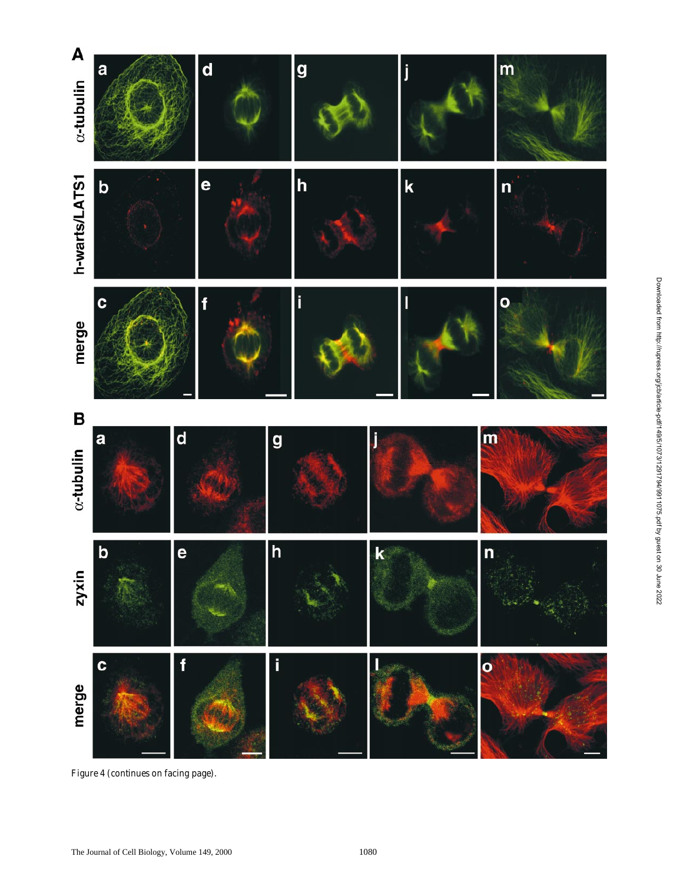

*Figure 4 (continues on facing page).*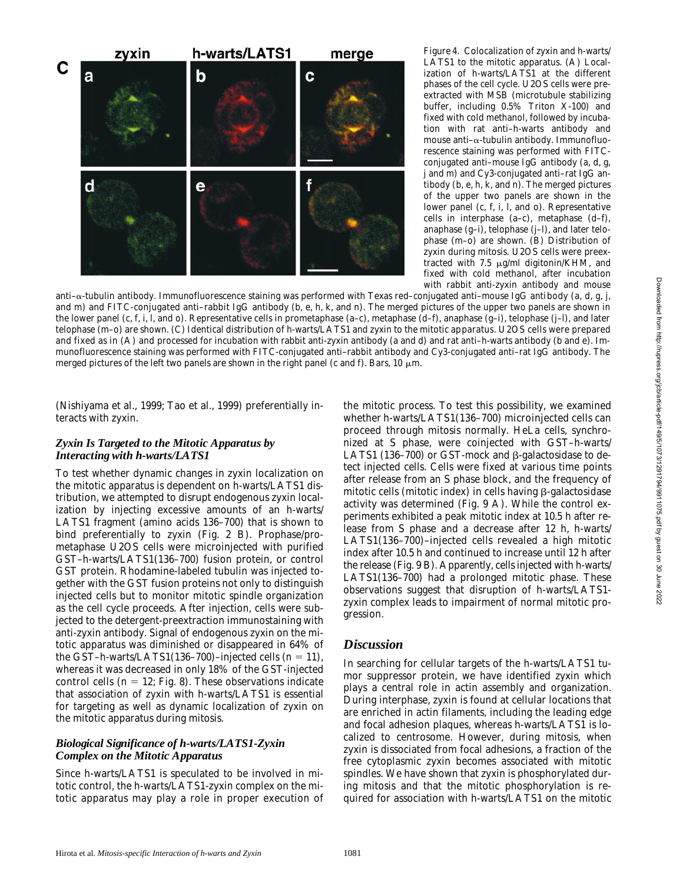

*Figure 4*. Colocalization of zyxin and h-warts/ LATS1 to the mitotic apparatus. (A) Localization of h-warts/LATS1 at the different phases of the cell cycle. U2OS cells were preextracted with MSB (microtubule stabilizing buffer, including 0.5% Triton X-100) and fixed with cold methanol, followed by incubation with rat anti–h-warts antibody and mouse anti- $\alpha$ -tubulin antibody. Immunofluorescence staining was performed with FITCconjugated anti–mouse IgG antibody (a, d, g, j and m) and Cy3-conjugated anti–rat IgG antibody (b, e, h, k, and n). The merged pictures of the upper two panels are shown in the lower panel (c, f, i, l, and o). Representative cells in interphase (a–c), metaphase (d–f), anaphase (g–i), telophase (j–l), and later telophase (m–o) are shown. (B) Distribution of zyxin during mitosis. U2OS cells were preextracted with 7.5  $\mu$ g/ml digitonin/KHM, and fixed with cold methanol, after incubation with rabbit anti-zyxin antibody and mouse

anti– $\alpha$ -tubulin antibody. Immunofluorescence staining was performed with Texas red–conjugated anti–mouse IgG antibody (a, d, g, j, and m) and FITC-conjugated anti–rabbit IgG antibody (b, e, h, k, and n). The merged pictures of the upper two panels are shown in the lower panel (c, f, i, l, and o). Representative cells in prometaphase (a–c), metaphase (d–f), anaphase (g–i), telophase (j–l), and later telophase (m–o) are shown. (C) Identical distribution of h-warts/LATS1 and zyxin to the mitotic apparatus. U2OS cells were prepared and fixed as in (A) and processed for incubation with rabbit anti-zyxin antibody (a and d) and rat anti–h-warts antibody (b and e). Immunofluorescence staining was performed with FITC-conjugated anti–rabbit antibody and Cy3-conjugated anti–rat IgG antibody. The merged pictures of the left two panels are shown in the right panel (c and f). Bars, 10  $\mu$ m.

(Nishiyama et al., 1999; Tao et al., 1999) preferentially interacts with zyxin.

#### *Zyxin Is Targeted to the Mitotic Apparatus by Interacting with h-warts/LATS1*

To test whether dynamic changes in zyxin localization on the mitotic apparatus is dependent on h-warts/LATS1 distribution, we attempted to disrupt endogenous zyxin localization by injecting excessive amounts of an h-warts/ LATS1 fragment (amino acids 136–700) that is shown to bind preferentially to zyxin (Fig. 2 B). Prophase/prometaphase U2OS cells were microinjected with purified GST–h-warts/LATS1(136–700) fusion protein, or control GST protein. Rhodamine-labeled tubulin was injected together with the GST fusion proteins not only to distinguish injected cells but to monitor mitotic spindle organization as the cell cycle proceeds. After injection, cells were subjected to the detergent-preextraction immunostaining with anti-zyxin antibody. Signal of endogenous zyxin on the mitotic apparatus was diminished or disappeared in 64% of the GST-h-warts/LATS1(136–700)–injected cells  $(n = 11)$ , whereas it was decreased in only 18% of the GST-injected control cells  $(n = 12; Fig. 8)$ . These observations indicate that association of zyxin with h-warts/LATS1 is essential for targeting as well as dynamic localization of zyxin on the mitotic apparatus during mitosis.

#### *Biological Significance of h-warts/LATS1-Zyxin Complex on the Mitotic Apparatus*

Since h-warts/LATS1 is speculated to be involved in mitotic control, the h-warts/LATS1-zyxin complex on the mitotic apparatus may play a role in proper execution of the mitotic process. To test this possibility, we examined whether h-warts/LATS1(136–700) microinjected cells can proceed through mitosis normally. HeLa cells, synchronized at S phase, were coinjected with GST–h-warts/ LATS1 (136–700) or GST-mock and  $\beta$ -galactosidase to detect injected cells. Cells were fixed at various time points after release from an S phase block, and the frequency of mitotic cells (mitotic index) in cells having  $\beta$ -galactosidase activity was determined (Fig. 9 A). While the control experiments exhibited a peak mitotic index at 10.5 h after release from S phase and a decrease after 12 h, h-warts/ LATS1(136–700)–injected cells revealed a high mitotic index after 10.5 h and continued to increase until 12 h after the release (Fig. 9 B). Apparently, cells injected with h-warts/ LATS1(136–700) had a prolonged mitotic phase. These observations suggest that disruption of h-warts/LATS1 zyxin complex leads to impairment of normal mitotic progression.

### *Discussion*

In searching for cellular targets of the h-warts/LATS1 tumor suppressor protein, we have identified zyxin which plays a central role in actin assembly and organization. During interphase, zyxin is found at cellular locations that are enriched in actin filaments, including the leading edge and focal adhesion plaques, whereas h-warts/LATS1 is localized to centrosome. However, during mitosis, when zyxin is dissociated from focal adhesions, a fraction of the free cytoplasmic zyxin becomes associated with mitotic spindles. We have shown that zyxin is phosphorylated during mitosis and that the mitotic phosphorylation is required for association with h-warts/LATS1 on the mitotic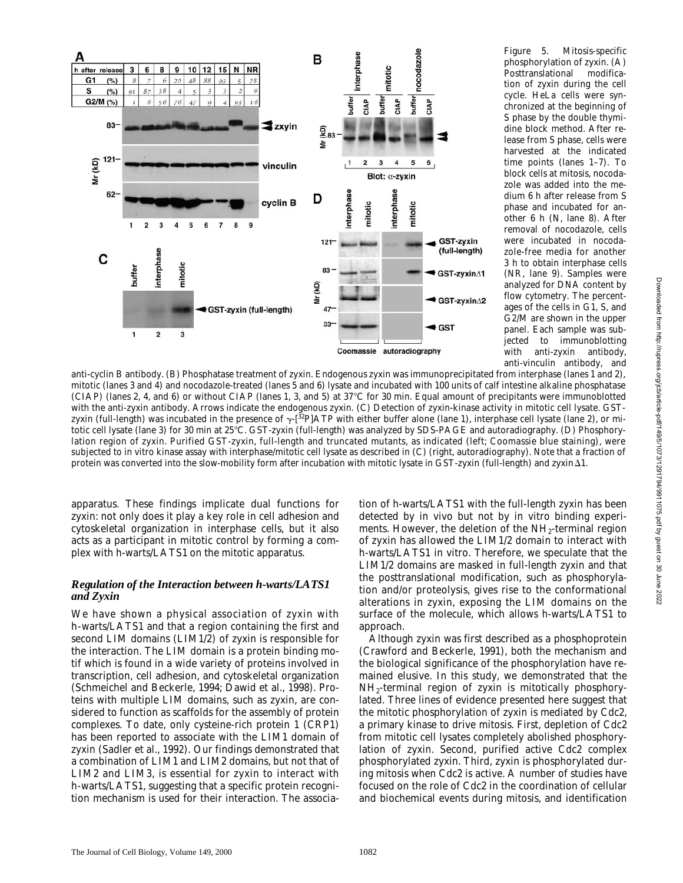

*Figure 5*. Mitosis-specific phosphorylation of zyxin. (A) Posttranslational modification of zyxin during the cell cycle. HeLa cells were synchronized at the beginning of S phase by the double thymidine block method. After release from S phase, cells were harvested at the indicated time points (lanes 1–7). To block cells at mitosis, nocodazole was added into the medium 6 h after release from S phase and incubated for another 6 h (N, lane 8). After removal of nocodazole, cells were incubated in nocodazole-free media for another 3 h to obtain interphase cells (NR, lane 9). Samples were analyzed for DNA content by flow cytometry. The percentages of the cells in G1, S, and G2/M are shown in the upper panel. Each sample was subjected to immunoblotting with anti-zyxin antibody, anti-vinculin antibody, and

anti-cyclin B antibody. (B) Phosphatase treatment of zyxin. Endogenous zyxin was immunoprecipitated from interphase (lanes 1 and 2), mitotic (lanes 3 and 4) and nocodazole-treated (lanes 5 and 6) lysate and incubated with 100 units of calf intestine alkaline phosphatase (CIAP) (lanes 2, 4, and 6) or without CIAP (lanes 1, 3, and 5) at  $37^{\circ}$ C for 30 min. Equal amount of precipitants were immunoblotted with the anti-zyxin antibody. Arrows indicate the endogenous zyxin. (C) Detection of zyxin-kinase activity in mitotic cell lysate. GSTzyxin (full-length) was incubated in the presence of  $\gamma$ -[<sup>32</sup>P]ATP with either buffer alone (lane 1), interphase cell lysate (lane 2), or mitotic cell lysate (lane 3) for 30 min at 25°C. GST-zyxin (full-length) was analyzed by SDS-PAGE and autoradiography. (D) Phosphorylation region of zyxin. Purified GST-zyxin, full-length and truncated mutants, as indicated (left; Coomassie blue staining), were subjected to in vitro kinase assay with interphase/mitotic cell lysate as described in (C) (right, autoradiography). Note that a fraction of protein was converted into the slow-mobility form after incubation with mitotic lysate in GST-zyxin (full-length) and zyxin $\Delta 1$ .

apparatus. These findings implicate dual functions for zyxin: not only does it play a key role in cell adhesion and cytoskeletal organization in interphase cells, but it also acts as a participant in mitotic control by forming a complex with h-warts/LATS1 on the mitotic apparatus.

#### *Regulation of the Interaction between h-warts/LATS1 and Zyxin*

We have shown a physical association of zyxin with h-warts/LATS1 and that a region containing the first and second LIM domains (LIM1/2) of zyxin is responsible for the interaction. The LIM domain is a protein binding motif which is found in a wide variety of proteins involved in transcription, cell adhesion, and cytoskeletal organization (Schmeichel and Beckerle, 1994; Dawid et al., 1998). Proteins with multiple LIM domains, such as zyxin, are considered to function as scaffolds for the assembly of protein complexes. To date, only cysteine-rich protein 1 (CRP1) has been reported to associate with the LIM1 domain of zyxin (Sadler et al., 1992). Our findings demonstrated that a combination of LIM1 and LIM2 domains, but not that of LIM2 and LIM3, is essential for zyxin to interact with h-warts/LATS1, suggesting that a specific protein recognition mechanism is used for their interaction. The associa-

tion of h-warts/LATS1 with the full-length zyxin has been detected by in vivo but not by in vitro binding experiments. However, the deletion of the  $NH<sub>2</sub>$ -terminal region of zyxin has allowed the LIM1/2 domain to interact with h-warts/LATS1 in vitro. Therefore, we speculate that the LIM1/2 domains are masked in full-length zyxin and that the posttranslational modification, such as phosphorylation and/or proteolysis, gives rise to the conformational alterations in zyxin, exposing the LIM domains on the surface of the molecule, which allows h-warts/LATS1 to approach.

Although zyxin was first described as a phosphoprotein (Crawford and Beckerle, 1991), both the mechanism and the biological significance of the phosphorylation have remained elusive. In this study, we demonstrated that the  $NH<sub>2</sub>$ -terminal region of zyxin is mitotically phosphorylated. Three lines of evidence presented here suggest that the mitotic phosphorylation of zyxin is mediated by Cdc2, a primary kinase to drive mitosis. First, depletion of Cdc2 from mitotic cell lysates completely abolished phosphorylation of zyxin. Second, purified active Cdc2 complex phosphorylated zyxin. Third, zyxin is phosphorylated during mitosis when Cdc2 is active. A number of studies have focused on the role of Cdc2 in the coordination of cellular and biochemical events during mitosis, and identification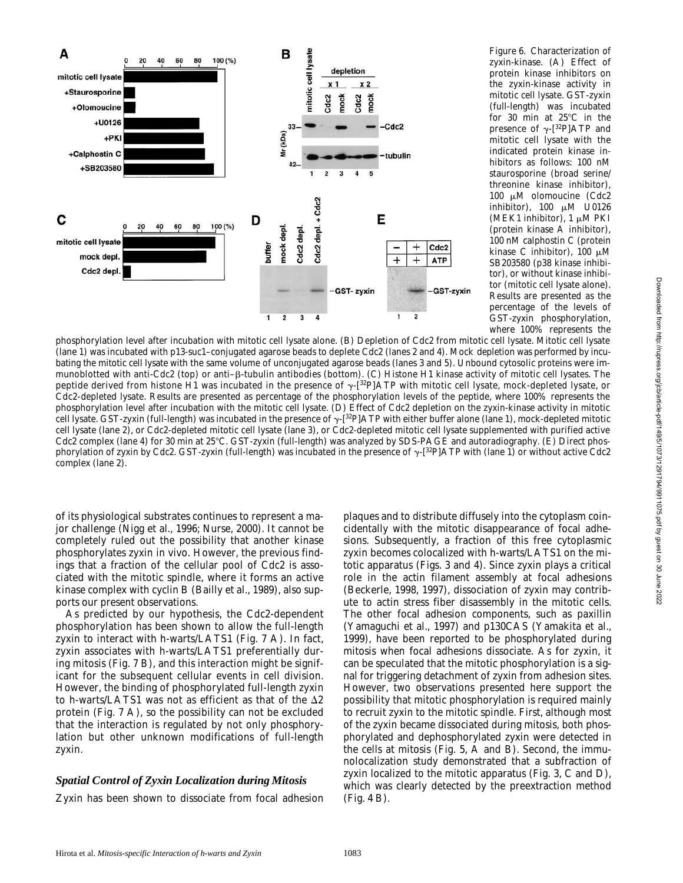

*Figure 6*. Characterization of zyxin-kinase. (A) Effect of protein kinase inhibitors on the zyxin-kinase activity in mitotic cell lysate. GST-zyxin (full-length) was incubated for 30 min at  $25^{\circ}$ C in the presence of  $\gamma$ -[32P]ATP and mitotic cell lysate with the indicated protein kinase inhibitors as follows: 100 nM staurosporine (broad serine/ threonine kinase inhibitor), 100  $\mu$ M olomoucine (Cdc2 inhibitor),  $100 \mu M$  U0126 (MEK1 inhibitor),  $1 \mu M$  PKI (protein kinase A inhibitor), 100 nM calphostin C (protein kinase C inhibitor), 100  $\mu$ M SB203580 (p38 kinase inhibitor), or without kinase inhibitor (mitotic cell lysate alone). Results are presented as the percentage of the levels of GST-zyxin phosphorylation, where 100% represents the

phosphorylation level after incubation with mitotic cell lysate alone. (B) Depletion of Cdc2 from mitotic cell lysate. Mitotic cell lysate (lane 1) was incubated with p13-suc1–conjugated agarose beads to deplete Cdc2 (lanes 2 and 4). Mock depletion was performed by incubating the mitotic cell lysate with the same volume of unconjugated agarose beads (lanes 3 and 5). Unbound cytosolic proteins were immunoblotted with anti-Cdc2 (top) or anti- $\beta$ -tubulin antibodies (bottom). (C) Histone H1 kinase activity of mitotic cell lysates. The peptide derived from histone H1 was incubated in the presence of  $\gamma$ -[<sup>32</sup>P]ATP with mitotic cell lysate, mock-depleted lysate, or Cdc2-depleted lysate. Results are presented as percentage of the phosphorylation levels of the peptide, where 100% represents the phosphorylation level after incubation with the mitotic cell lysate. (D) Effect of Cdc2 depletion on the zyxin-kinase activity in mitotic cell lysate. GST-zyxin (full-length) was incubated in the presence of  $\gamma$ -[<sup>32</sup>P]ATP with either buffer alone (lane 1), mock-depleted mitotic cell lysate (lane 2), or Cdc2-depleted mitotic cell lysate (lane 3), or Cdc2-depleted mitotic cell lysate supplemented with purified active Cdc2 complex (lane 4) for 30 min at 25°C. GST-zyxin (full-length) was analyzed by SDS-PAGE and autoradiography. (E) Direct phosphorylation of zyxin by Cdc2. GST-zyxin (full-length) was incubated in the presence of  $\gamma$ -[32P]ATP with (lane 1) or without active Cdc2 complex (lane 2).

of its physiological substrates continues to represent a major challenge (Nigg et al., 1996; Nurse, 2000). It cannot be completely ruled out the possibility that another kinase phosphorylates zyxin in vivo. However, the previous findings that a fraction of the cellular pool of Cdc2 is associated with the mitotic spindle, where it forms an active kinase complex with cyclin B (Bailly et al., 1989), also supports our present observations.

As predicted by our hypothesis, the Cdc2-dependent phosphorylation has been shown to allow the full-length zyxin to interact with h-warts/LATS1 (Fig. 7 A). In fact, zyxin associates with h-warts/LATS1 preferentially during mitosis (Fig. 7 B), and this interaction might be significant for the subsequent cellular events in cell division. However, the binding of phosphorylated full-length zyxin to h-warts/LATS1 was not as efficient as that of the  $\Delta 2$ protein (Fig. 7 A), so the possibility can not be excluded that the interaction is regulated by not only phosphorylation but other unknown modifications of full-length zyxin.

#### *Spatial Control of Zyxin Localization during Mitosis*

Zyxin has been shown to dissociate from focal adhesion

plaques and to distribute diffusely into the cytoplasm coincidentally with the mitotic disappearance of focal adhesions. Subsequently, a fraction of this free cytoplasmic zyxin becomes colocalized with h-warts/LATS1 on the mitotic apparatus (Figs. 3 and 4). Since zyxin plays a critical role in the actin filament assembly at focal adhesions (Beckerle, 1998, 1997), dissociation of zyxin may contribute to actin stress fiber disassembly in the mitotic cells. The other focal adhesion components, such as paxillin (Yamaguchi et al., 1997) and p130CAS (Yamakita et al., 1999), have been reported to be phosphorylated during mitosis when focal adhesions dissociate. As for zyxin, it can be speculated that the mitotic phosphorylation is a signal for triggering detachment of zyxin from adhesion sites. However, two observations presented here support the possibility that mitotic phosphorylation is required mainly to recruit zyxin to the mitotic spindle. First, although most of the zyxin became dissociated during mitosis, both phosphorylated and dephosphorylated zyxin were detected in the cells at mitosis (Fig. 5, A and B). Second, the immunolocalization study demonstrated that a subfraction of zyxin localized to the mitotic apparatus (Fig. 3, C and D), which was clearly detected by the preextraction method (Fig. 4 B).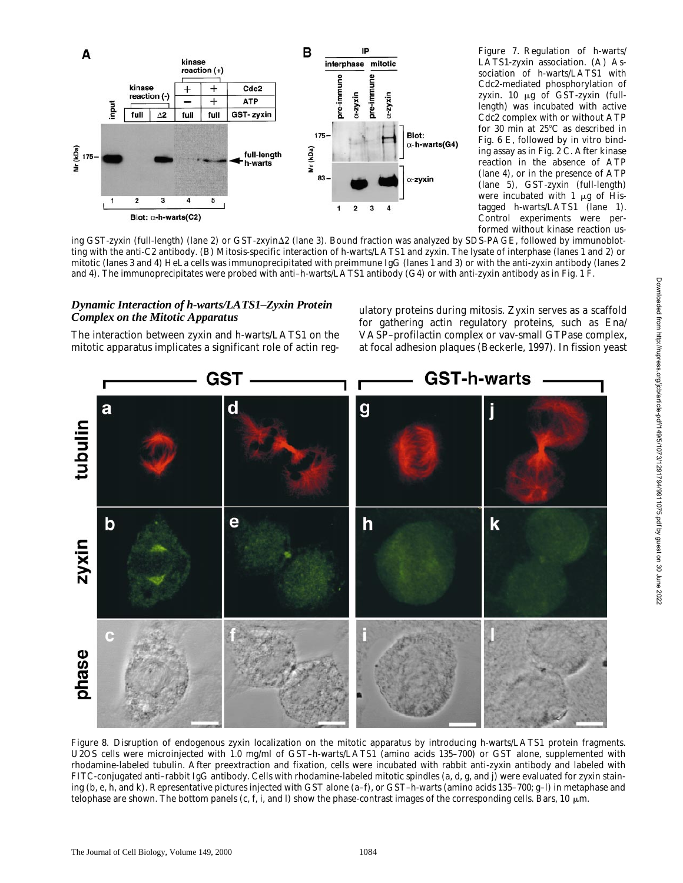

*Figure 7*. Regulation of h-warts/ LATS1-zyxin association. (A) Association of h-warts/LATS1 with Cdc2-mediated phosphorylation of zyxin.  $10 \mu g$  of GST-zyxin (fulllength) was incubated with active Cdc2 complex with or without ATP for 30 min at  $25^{\circ}$ C as described in Fig. 6 E, followed by in vitro binding assay as in Fig. 2 C. After kinase reaction in the absence of ATP (lane 4), or in the presence of ATP (lane 5), GST-zyxin (full-length) were incubated with 1  $\mu$ g of Histagged h-warts/LATS1 (lane 1). Control experiments were performed without kinase reaction us-

ing GST-zyxin (full-length) (lane 2) or GST-zxyin $\Delta 2$  (lane 3). Bound fraction was analyzed by SDS-PAGE, followed by immunoblotting with the anti-C2 antibody. (B) Mitosis-specific interaction of h-warts/LATS1 and zyxin. The lysate of interphase (lanes 1 and 2) or mitotic (lanes 3 and 4) HeLa cells was immunoprecipitated with preimmune IgG (lanes 1 and 3) or with the anti-zyxin antibody (lanes 2 and 4). The immunoprecipitates were probed with anti–h-warts/LATS1 antibody (G4) or with anti-zyxin antibody as in Fig. 1 F.

#### *Dynamic Interaction of h-warts/LATS1–Zyxin Protein Complex on the Mitotic Apparatus*

The interaction between zyxin and h-warts/LATS1 on the mitotic apparatus implicates a significant role of actin reg-

ulatory proteins during mitosis. Zyxin serves as a scaffold for gathering actin regulatory proteins, such as Ena/ VASP–profilactin complex or vav-small GTPase complex, at focal adhesion plaques (Beckerle, 1997). In fission yeast



*Figure 8*. Disruption of endogenous zyxin localization on the mitotic apparatus by introducing h-warts/LATS1 protein fragments. U2OS cells were microinjected with 1.0 mg/ml of GST–h-warts/LATS1 (amino acids 135–700) or GST alone, supplemented with rhodamine-labeled tubulin. After preextraction and fixation, cells were incubated with rabbit anti-zyxin antibody and labeled with FITC-conjugated anti–rabbit IgG antibody. Cells with rhodamine-labeled mitotic spindles (a, d, g, and j) were evaluated for zyxin staining (b, e, h, and k). Representative pictures injected with GST alone (a–f), or GST–h-warts (amino acids 135–700; g–l) in metaphase and telophase are shown. The bottom panels (c, f, i, and l) show the phase-contrast images of the corresponding cells. Bars, 10  $\mu$ m.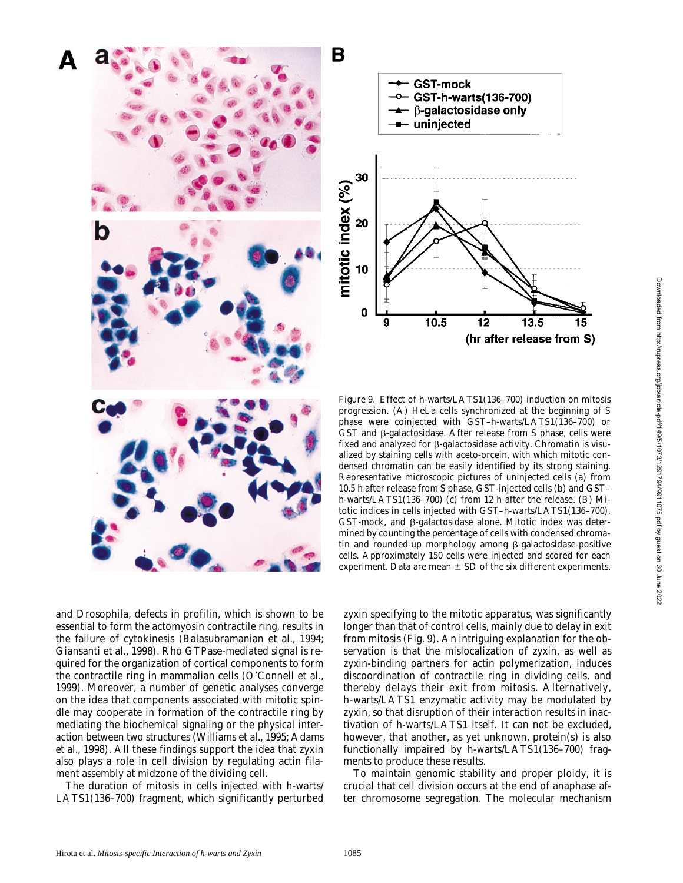



*Figure 9*. Effect of h-warts/LATS1(136–700) induction on mitosis progression. (A) HeLa cells synchronized at the beginning of S phase were coinjected with GST–h-warts/LATS1(136–700) or GST and  $\beta$ -galactosidase. After release from S phase, cells were fixed and analyzed for  $\beta$ -galactosidase activity. Chromatin is visualized by staining cells with aceto-orcein, with which mitotic condensed chromatin can be easily identified by its strong staining. Representative microscopic pictures of uninjected cells (a) from 10.5 h after release from S phase, GST-injected cells (b) and GST– h-warts/LATS1(136–700) (c) from 12 h after the release. (B) Mitotic indices in cells injected with GST–h-warts/LATS1(136–700),  $GST$ -mock, and  $\beta$ -galactosidase alone. Mitotic index was determined by counting the percentage of cells with condensed chromatin and rounded-up morphology among  $\beta$ -galactosidase-positive cells. Approximately 150 cells were injected and scored for each experiment. Data are mean  $\pm$  SD of the six different experiments.

and *Drosophila*, defects in profilin, which is shown to be essential to form the actomyosin contractile ring, results in the failure of cytokinesis (Balasubramanian et al., 1994; Giansanti et al., 1998). Rho GTPase-mediated signal is required for the organization of cortical components to form the contractile ring in mammalian cells (O'Connell et al., 1999). Moreover, a number of genetic analyses converge on the idea that components associated with mitotic spindle may cooperate in formation of the contractile ring by mediating the biochemical signaling or the physical interaction between two structures (Williams et al., 1995; Adams et al., 1998). All these findings support the idea that zyxin also plays a role in cell division by regulating actin filament assembly at midzone of the dividing cell.

The duration of mitosis in cells injected with h-warts/ LATS1(136–700) fragment, which significantly perturbed zyxin specifying to the mitotic apparatus, was significantly longer than that of control cells, mainly due to delay in exit from mitosis (Fig. 9). An intriguing explanation for the observation is that the mislocalization of zyxin, as well as zyxin-binding partners for actin polymerization, induces discoordination of contractile ring in dividing cells, and thereby delays their exit from mitosis. Alternatively, h-warts/LATS1 enzymatic activity may be modulated by zyxin, so that disruption of their interaction results in inactivation of h-warts/LATS1 itself. It can not be excluded, however, that another, as yet unknown, protein(s) is also functionally impaired by h-warts/LATS1(136–700) fragments to produce these results.

To maintain genomic stability and proper ploidy, it is crucial that cell division occurs at the end of anaphase after chromosome segregation. The molecular mechanism